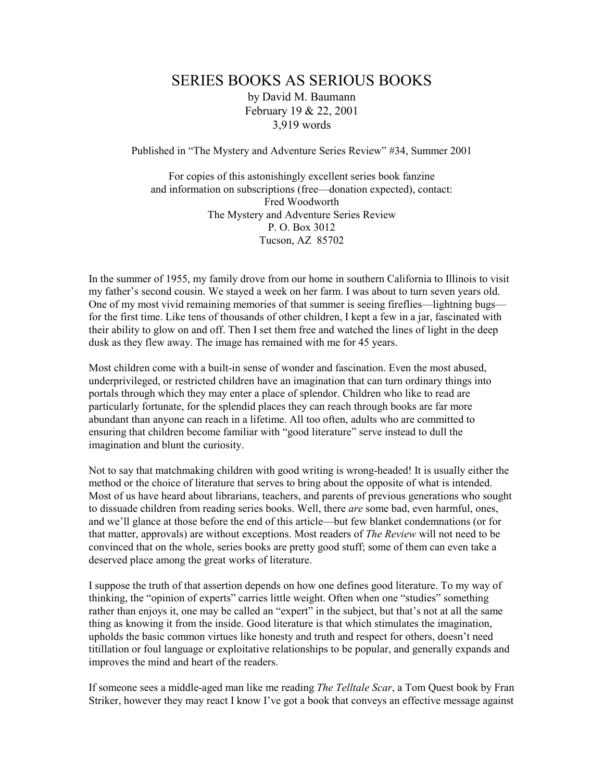## SERIES BOOKS AS SERIOUS BOOKS by David M. Baumann February 19 & 22, 2001 3,919 words

Published in "The Mystery and Adventure Series Review" #34, Summer 2001

For copies of this astonishingly excellent series book fanzine and information on subscriptions (free—donation expected), contact: Fred Woodworth The Mystery and Adventure Series Review P. O. Box 3012 Tucson, AZ 85702

In the summer of 1955, my family drove from our home in southern California to Illinois to visit my father's second cousin. We stayed a week on her farm. I was about to turn seven years old. One of my most vivid remaining memories of that summer is seeing fireflies—lightning bugs for the first time. Like tens of thousands of other children, I kept a few in a jar, fascinated with their ability to glow on and off. Then I set them free and watched the lines of light in the deep dusk as they flew away. The image has remained with me for 45 years.

Most children come with a built-in sense of wonder and fascination. Even the most abused, underprivileged, or restricted children have an imagination that can turn ordinary things into portals through which they may enter a place of splendor. Children who like to read are particularly fortunate, for the splendid places they can reach through books are far more abundant than anyone can reach in a lifetime. All too often, adults who are committed to ensuring that children become familiar with "good literature" serve instead to dull the imagination and blunt the curiosity.

Not to say that matchmaking children with good writing is wrong-headed! It is usually either the method or the choice of literature that serves to bring about the opposite of what is intended. Most of us have heard about librarians, teachers, and parents of previous generations who sought to dissuade children from reading series books. Well, there *are* some bad, even harmful, ones, and we'll glance at those before the end of this article—but few blanket condemnations (or for that matter, approvals) are without exceptions. Most readers of The Review will not need to be convinced that on the whole, series books are pretty good stuff; some of them can even take a deserved place among the great works of literature.

I suppose the truth of that assertion depends on how one defines good literature. To my way of thinking, the "opinion of experts" carries little weight. Often when one "studies" something rather than enjoys it, one may be called an "expert" in the subject, but that's not at all the same thing as knowing it from the inside. Good literature is that which stimulates the imagination, upholds the basic common virtues like honesty and truth and respect for others, doesn't need titillation or foul language or exploitative relationships to be popular, and generally expands and improves the mind and heart of the readers.

If someone sees a middle-aged man like me reading *The Telltale Scar*, a Tom Quest book by Fran Striker, however they may react I know I've got a book that conveys an effective message against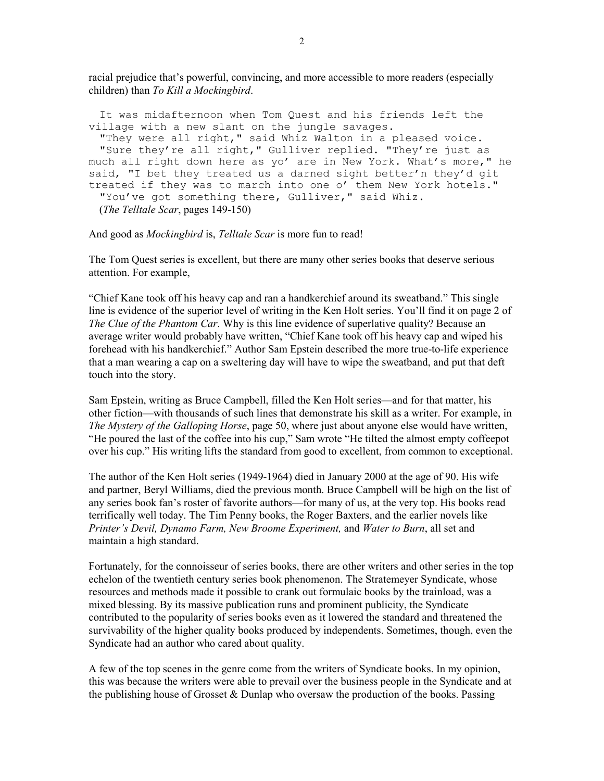racial prejudice that's powerful, convincing, and more accessible to more readers (especially children) than To Kill a Mockingbird.

 It was midafternoon when Tom Quest and his friends left the village with a new slant on the jungle savages. "They were all right," said Whiz Walton in a pleased voice. "Sure they're all right," Gulliver replied. "They're just as much all right down here as yo' are in New York. What's more," he said, "I bet they treated us a darned sight better'n they'd git treated if they was to march into one o' them New York hotels." "You've got something there, Gulliver," said Whiz. (The Telltale Scar, pages 149-150)

And good as *Mockingbird* is, *Telltale Scar* is more fun to read!

The Tom Quest series is excellent, but there are many other series books that deserve serious attention. For example,

"Chief Kane took off his heavy cap and ran a handkerchief around its sweatband." This single line is evidence of the superior level of writing in the Ken Holt series. You'll find it on page 2 of The Clue of the Phantom Car. Why is this line evidence of superlative quality? Because an average writer would probably have written, "Chief Kane took off his heavy cap and wiped his forehead with his handkerchief." Author Sam Epstein described the more true-to-life experience that a man wearing a cap on a sweltering day will have to wipe the sweatband, and put that deft touch into the story.

Sam Epstein, writing as Bruce Campbell, filled the Ken Holt series—and for that matter, his other fiction—with thousands of such lines that demonstrate his skill as a writer. For example, in The Mystery of the Galloping Horse, page 50, where just about anyone else would have written, "He poured the last of the coffee into his cup," Sam wrote "He tilted the almost empty coffeepot over his cup." His writing lifts the standard from good to excellent, from common to exceptional.

The author of the Ken Holt series (1949-1964) died in January 2000 at the age of 90. His wife and partner, Beryl Williams, died the previous month. Bruce Campbell will be high on the list of any series book fan's roster of favorite authors—for many of us, at the very top. His books read terrifically well today. The Tim Penny books, the Roger Baxters, and the earlier novels like Printer's Devil, Dynamo Farm, New Broome Experiment, and Water to Burn, all set and maintain a high standard.

Fortunately, for the connoisseur of series books, there are other writers and other series in the top echelon of the twentieth century series book phenomenon. The Stratemeyer Syndicate, whose resources and methods made it possible to crank out formulaic books by the trainload, was a mixed blessing. By its massive publication runs and prominent publicity, the Syndicate contributed to the popularity of series books even as it lowered the standard and threatened the survivability of the higher quality books produced by independents. Sometimes, though, even the Syndicate had an author who cared about quality.

A few of the top scenes in the genre come from the writers of Syndicate books. In my opinion, this was because the writers were able to prevail over the business people in the Syndicate and at the publishing house of Grosset & Dunlap who oversaw the production of the books. Passing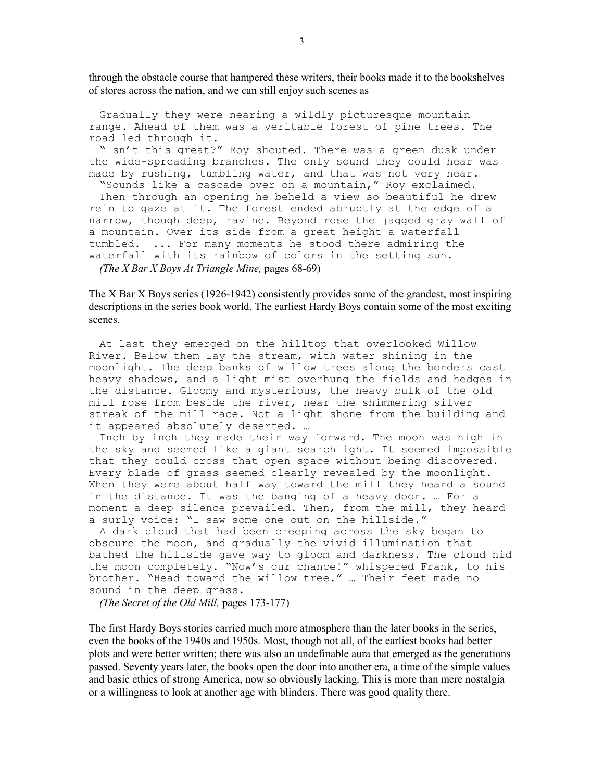through the obstacle course that hampered these writers, their books made it to the bookshelves of stores across the nation, and we can still enjoy such scenes as

 Gradually they were nearing a wildly picturesque mountain range. Ahead of them was a veritable forest of pine trees. The road led through it.

 "Isn't this great?" Roy shouted. There was a green dusk under the wide-spreading branches. The only sound they could hear was made by rushing, tumbling water, and that was not very near.

 "Sounds like a cascade over on a mountain," Roy exclaimed. Then through an opening he beheld a view so beautiful he drew rein to gaze at it. The forest ended abruptly at the edge of a narrow, though deep, ravine. Beyond rose the jagged gray wall of a mountain. Over its side from a great height a waterfall tumbled. ... For many moments he stood there admiring the waterfall with its rainbow of colors in the setting sun. (The X Bar X Boys At Triangle Mine, pages  $68-69$ )

The X Bar X Boys series (1926-1942) consistently provides some of the grandest, most inspiring descriptions in the series book world. The earliest Hardy Boys contain some of the most exciting scenes.

At last they emerged on the hilltop that overlooked Willow River. Below them lay the stream, with water shining in the moonlight. The deep banks of willow trees along the borders cast heavy shadows, and a light mist overhung the fields and hedges in the distance. Gloomy and mysterious, the heavy bulk of the old mill rose from beside the river, near the shimmering silver streak of the mill race. Not a light shone from the building and it appeared absolutely deserted. …

Inch by inch they made their way forward. The moon was high in the sky and seemed like a giant searchlight. It seemed impossible that they could cross that open space without being discovered. Every blade of grass seemed clearly revealed by the moonlight. When they were about half way toward the mill they heard a sound in the distance. It was the banging of a heavy door. … For a moment a deep silence prevailed. Then, from the mill, they heard a surly voice: "I saw some one out on the hillside."

A dark cloud that had been creeping across the sky began to obscure the moon, and gradually the vivid illumination that bathed the hillside gave way to gloom and darkness. The cloud hid the moon completely. "Now's our chance!" whispered Frank, to his brother. "Head toward the willow tree." … Their feet made no sound in the deep grass.

(The Secret of the Old Mill, pages 173-177)

The first Hardy Boys stories carried much more atmosphere than the later books in the series, even the books of the 1940s and 1950s. Most, though not all, of the earliest books had better plots and were better written; there was also an undefinable aura that emerged as the generations passed. Seventy years later, the books open the door into another era, a time of the simple values and basic ethics of strong America, now so obviously lacking. This is more than mere nostalgia or a willingness to look at another age with blinders. There was good quality there.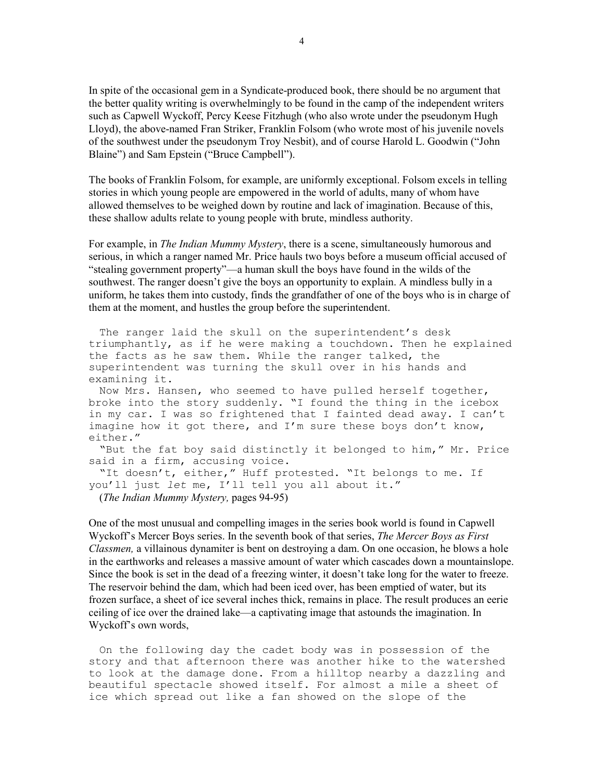In spite of the occasional gem in a Syndicate-produced book, there should be no argument that the better quality writing is overwhelmingly to be found in the camp of the independent writers such as Capwell Wyckoff, Percy Keese Fitzhugh (who also wrote under the pseudonym Hugh Lloyd), the above-named Fran Striker, Franklin Folsom (who wrote most of his juvenile novels of the southwest under the pseudonym Troy Nesbit), and of course Harold L. Goodwin ("John Blaine") and Sam Epstein ("Bruce Campbell").

The books of Franklin Folsom, for example, are uniformly exceptional. Folsom excels in telling stories in which young people are empowered in the world of adults, many of whom have allowed themselves to be weighed down by routine and lack of imagination. Because of this, these shallow adults relate to young people with brute, mindless authority.

For example, in *The Indian Mummy Mystery*, there is a scene, simultaneously humorous and serious, in which a ranger named Mr. Price hauls two boys before a museum official accused of "stealing government property"—a human skull the boys have found in the wilds of the southwest. The ranger doesn't give the boys an opportunity to explain. A mindless bully in a uniform, he takes them into custody, finds the grandfather of one of the boys who is in charge of them at the moment, and hustles the group before the superintendent.

 The ranger laid the skull on the superintendent's desk triumphantly, as if he were making a touchdown. Then he explained the facts as he saw them. While the ranger talked, the superintendent was turning the skull over in his hands and examining it.

 Now Mrs. Hansen, who seemed to have pulled herself together, broke into the story suddenly. "I found the thing in the icebox in my car. I was so frightened that I fainted dead away. I can't imagine how it got there, and I'm sure these boys don't know, either."

 "But the fat boy said distinctly it belonged to him," Mr. Price said in a firm, accusing voice.

 "It doesn't, either," Huff protested. "It belongs to me. If you'll just let me, I'll tell you all about it." (The Indian Mummy Mystery, pages 94-95)

One of the most unusual and compelling images in the series book world is found in Capwell Wyckoff's Mercer Boys series. In the seventh book of that series, The Mercer Boys as First Classmen, a villainous dynamiter is bent on destroying a dam. On one occasion, he blows a hole in the earthworks and releases a massive amount of water which cascades down a mountainslope. Since the book is set in the dead of a freezing winter, it doesn't take long for the water to freeze. The reservoir behind the dam, which had been iced over, has been emptied of water, but its frozen surface, a sheet of ice several inches thick, remains in place. The result produces an eerie ceiling of ice over the drained lake—a captivating image that astounds the imagination. In

Wyckoff's own words,

 On the following day the cadet body was in possession of the story and that afternoon there was another hike to the watershed to look at the damage done. From a hilltop nearby a dazzling and beautiful spectacle showed itself. For almost a mile a sheet of ice which spread out like a fan showed on the slope of the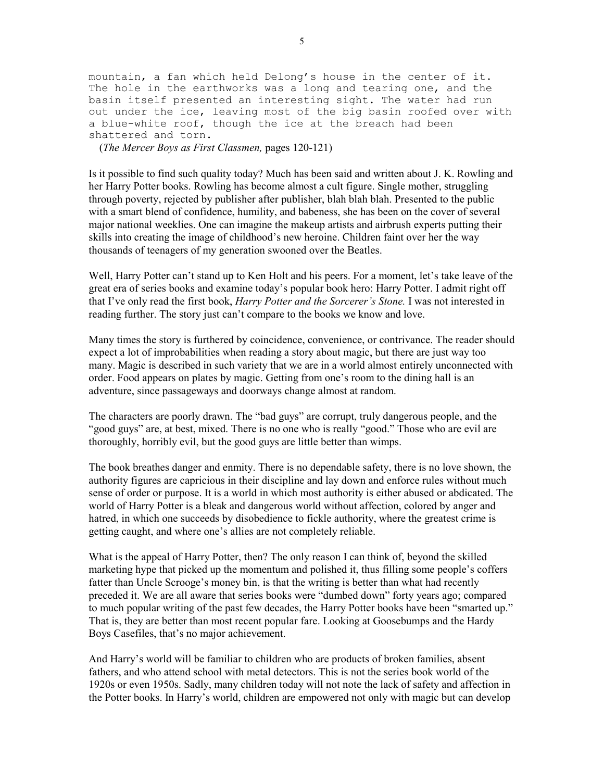mountain, a fan which held Delong's house in the center of it. The hole in the earthworks was a long and tearing one, and the basin itself presented an interesting sight. The water had run out under the ice, leaving most of the big basin roofed over with a blue-white roof, though the ice at the breach had been shattered and torn.

(The Mercer Boys as First Classmen, pages 120-121)

Is it possible to find such quality today? Much has been said and written about J. K. Rowling and her Harry Potter books. Rowling has become almost a cult figure. Single mother, struggling through poverty, rejected by publisher after publisher, blah blah blah. Presented to the public with a smart blend of confidence, humility, and babeness, she has been on the cover of several major national weeklies. One can imagine the makeup artists and airbrush experts putting their skills into creating the image of childhood's new heroine. Children faint over her the way thousands of teenagers of my generation swooned over the Beatles.

Well, Harry Potter can't stand up to Ken Holt and his peers. For a moment, let's take leave of the great era of series books and examine today's popular book hero: Harry Potter. I admit right off that I've only read the first book, *Harry Potter and the Sorcerer's Stone*. I was not interested in reading further. The story just can't compare to the books we know and love.

Many times the story is furthered by coincidence, convenience, or contrivance. The reader should expect a lot of improbabilities when reading a story about magic, but there are just way too many. Magic is described in such variety that we are in a world almost entirely unconnected with order. Food appears on plates by magic. Getting from one's room to the dining hall is an adventure, since passageways and doorways change almost at random.

The characters are poorly drawn. The "bad guys" are corrupt, truly dangerous people, and the "good guys" are, at best, mixed. There is no one who is really "good." Those who are evil are thoroughly, horribly evil, but the good guys are little better than wimps.

The book breathes danger and enmity. There is no dependable safety, there is no love shown, the authority figures are capricious in their discipline and lay down and enforce rules without much sense of order or purpose. It is a world in which most authority is either abused or abdicated. The world of Harry Potter is a bleak and dangerous world without affection, colored by anger and hatred, in which one succeeds by disobedience to fickle authority, where the greatest crime is getting caught, and where one's allies are not completely reliable.

What is the appeal of Harry Potter, then? The only reason I can think of, beyond the skilled marketing hype that picked up the momentum and polished it, thus filling some people's coffers fatter than Uncle Scrooge's money bin, is that the writing is better than what had recently preceded it. We are all aware that series books were "dumbed down" forty years ago; compared to much popular writing of the past few decades, the Harry Potter books have been "smarted up." That is, they are better than most recent popular fare. Looking at Goosebumps and the Hardy Boys Casefiles, that's no major achievement.

And Harry's world will be familiar to children who are products of broken families, absent fathers, and who attend school with metal detectors. This is not the series book world of the 1920s or even 1950s. Sadly, many children today will not note the lack of safety and affection in the Potter books. In Harry's world, children are empowered not only with magic but can develop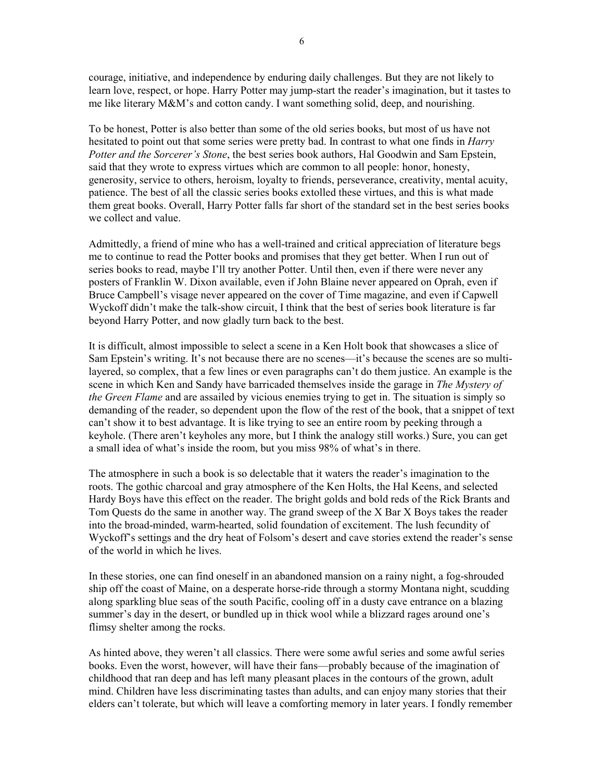courage, initiative, and independence by enduring daily challenges. But they are not likely to learn love, respect, or hope. Harry Potter may jump-start the reader's imagination, but it tastes to me like literary M&M's and cotton candy. I want something solid, deep, and nourishing.

To be honest, Potter is also better than some of the old series books, but most of us have not hesitated to point out that some series were pretty bad. In contrast to what one finds in *Harry* Potter and the Sorcerer's Stone, the best series book authors, Hal Goodwin and Sam Epstein, said that they wrote to express virtues which are common to all people: honor, honesty, generosity, service to others, heroism, loyalty to friends, perseverance, creativity, mental acuity, patience. The best of all the classic series books extolled these virtues, and this is what made them great books. Overall, Harry Potter falls far short of the standard set in the best series books we collect and value.

Admittedly, a friend of mine who has a well-trained and critical appreciation of literature begs me to continue to read the Potter books and promises that they get better. When I run out of series books to read, maybe I'll try another Potter. Until then, even if there were never any posters of Franklin W. Dixon available, even if John Blaine never appeared on Oprah, even if Bruce Campbell's visage never appeared on the cover of Time magazine, and even if Capwell Wyckoff didn't make the talk-show circuit, I think that the best of series book literature is far beyond Harry Potter, and now gladly turn back to the best.

It is difficult, almost impossible to select a scene in a Ken Holt book that showcases a slice of Sam Epstein's writing. It's not because there are no scenes—it's because the scenes are so multilayered, so complex, that a few lines or even paragraphs can't do them justice. An example is the scene in which Ken and Sandy have barricaded themselves inside the garage in The Mystery of the Green Flame and are assailed by vicious enemies trying to get in. The situation is simply so demanding of the reader, so dependent upon the flow of the rest of the book, that a snippet of text can't show it to best advantage. It is like trying to see an entire room by peeking through a keyhole. (There aren't keyholes any more, but I think the analogy still works.) Sure, you can get a small idea of what's inside the room, but you miss 98% of what's in there.

The atmosphere in such a book is so delectable that it waters the reader's imagination to the roots. The gothic charcoal and gray atmosphere of the Ken Holts, the Hal Keens, and selected Hardy Boys have this effect on the reader. The bright golds and bold reds of the Rick Brants and Tom Quests do the same in another way. The grand sweep of the X Bar X Boys takes the reader into the broad-minded, warm-hearted, solid foundation of excitement. The lush fecundity of Wyckoff's settings and the dry heat of Folsom's desert and cave stories extend the reader's sense of the world in which he lives.

In these stories, one can find oneself in an abandoned mansion on a rainy night, a fog-shrouded ship off the coast of Maine, on a desperate horse-ride through a stormy Montana night, scudding along sparkling blue seas of the south Pacific, cooling off in a dusty cave entrance on a blazing summer's day in the desert, or bundled up in thick wool while a blizzard rages around one's flimsy shelter among the rocks.

As hinted above, they weren't all classics. There were some awful series and some awful series books. Even the worst, however, will have their fans—probably because of the imagination of childhood that ran deep and has left many pleasant places in the contours of the grown, adult mind. Children have less discriminating tastes than adults, and can enjoy many stories that their elders can't tolerate, but which will leave a comforting memory in later years. I fondly remember